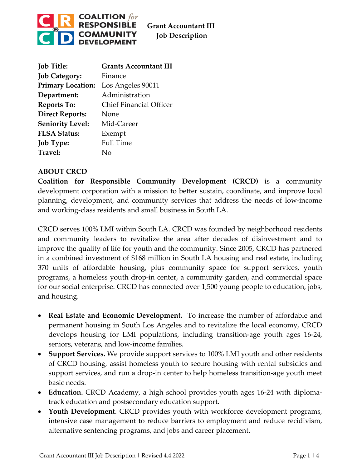

**Grant Accountant III Job Description**

| <b>Job Title:</b>        | <b>Grants Accountant III</b>   |
|--------------------------|--------------------------------|
| <b>Job Category:</b>     | Finance                        |
| <b>Primary Location:</b> | Los Angeles 90011              |
| Department:              | Administration                 |
| <b>Reports To:</b>       | <b>Chief Financial Officer</b> |
| <b>Direct Reports:</b>   | None                           |
| <b>Seniority Level:</b>  | Mid-Career                     |
| <b>FLSA Status:</b>      | Exempt                         |
| <b>Job Type:</b>         | <b>Full Time</b>               |
| Travel:                  | Nο                             |

### **ABOUT CRCD**

**Coalition for Responsible Community Development (CRCD)** is a community development corporation with a mission to better sustain, coordinate, and improve local planning, development, and community services that address the needs of low-income and working-class residents and small business in South LA.

CRCD serves 100% LMI within South LA. CRCD was founded by neighborhood residents and community leaders to revitalize the area after decades of disinvestment and to improve the quality of life for youth and the community. Since 2005, CRCD has partnered in a combined investment of \$168 million in South LA housing and real estate, including 370 units of affordable housing, plus community space for support services, youth programs, a homeless youth drop-in center, a community garden, and commercial space for our social enterprise. CRCD has connected over 1,500 young people to education, jobs, and housing.

- **Real Estate and Economic Development.** To increase the number of affordable and permanent housing in South Los Angeles and to revitalize the local economy, CRCD develops housing for LMI populations, including transition-age youth ages 16-24, seniors, veterans, and low-income families.
- **Support Services.** We provide support services to 100% LMI youth and other residents of CRCD housing, assist homeless youth to secure housing with rental subsidies and support services, and run a drop-in center to help homeless transition-age youth meet basic needs.
- **Education.** CRCD Academy, a high school provides youth ages 16-24 with diplomatrack education and postsecondary education support.
- **Youth Development**. CRCD provides youth with workforce development programs, intensive case management to reduce barriers to employment and reduce recidivism, alternative sentencing programs, and jobs and career placement.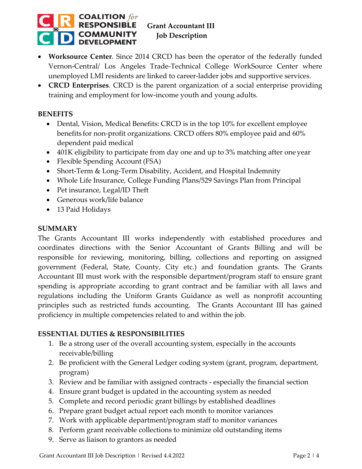

## **Grant Accountant III Job Description**

- **Worksource Center**. Since 2014 CRCD has been the operator of the federally funded Vernon-Central/ Los Angeles Trade-Technical College WorkSource Center where unemployed LMI residents are linked to career-ladder jobs and supportive services.
- **CRCD Enterprises**. CRCD is the parent organization of a social enterprise providing training and employment for low-income youth and young adults.

### **BENEFITS**

- Dental, Vision, Medical Benefits: CRCD is in the top 10% for excellent employee benefits for non-profit organizations. CRCD offers 80% employee paid and 60% dependent paid medical
- 401K eligibility to participate from day one and up to 3% matching after one year
- Flexible Spending Account (FSA)
- Short-Term & Long-Term Disability, Accident, and Hospital Indemnity
- Whole Life Insurance, College Funding Plans/529 Savings Plan from Principal
- Pet insurance, Legal/ID Theft
- Generous work/life balance
- 13 Paid Holidays

#### **SUMMARY**

The Grants Accountant III works independently with established procedures and coordinates directions with the Senior Accountant of Grants Billing and will be responsible for reviewing, monitoring, billing, collections and reporting on assigned government (Federal, State, County, City etc.) and foundation grants. The Grants Accountant III must work with the responsible department/program staff to ensure grant spending is appropriate according to grant contract and be familiar with all laws and regulations including the Uniform Grants Guidance as well as nonprofit accounting principles such as restricted funds accounting. The Grants Accountant III has gained proficiency in multiple competencies related to and within the job.

### **ESSENTIAL DUTIES & RESPONSIBILITIES**

- 1. Be a strong user of the overall accounting system, especially in the accounts receivable/billing
- 2. Be proficient with the General Ledger coding system (grant, program, department, program)
- 3. Review and be familiar with assigned contracts especially the financial section
- 4. Ensure grant budget is updated in the accounting system as needed
- 5. Complete and record periodic grant billings by established deadlines
- 6. Prepare grant budget actual report each month to monitor variances
- 7. Work with applicable department/program staff to monitor variances
- 8. Perform grant receivable collections to minimize old outstanding items
- 9. Serve as liaison to grantors as needed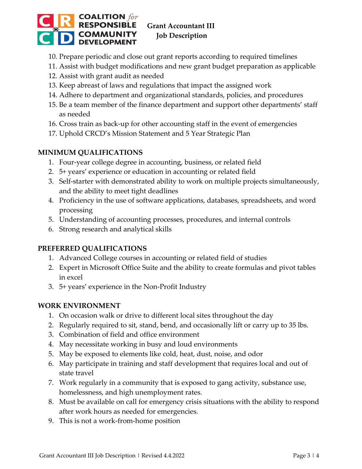

- 10. Prepare periodic and close out grant reports according to required timelines
- 11. Assist with budget modifications and new grant budget preparation as applicable
- 12. Assist with grant audit as needed
- 13. Keep abreast of laws and regulations that impact the assigned work
- 14. Adhere to department and organizational standards, policies, and procedures
- 15. Be a team member of the finance department and support other departments' staff as needed
- 16. Cross train as back-up for other accounting staff in the event of emergencies
- 17. Uphold CRCD's Mission Statement and 5 Year Strategic Plan

## **MINIMUM QUALIFICATIONS**

- 1. Four-year college degree in accounting, business, or related field
- 2. 5+ years' experience or education in accounting or related field
- 3. Self-starter with demonstrated ability to work on multiple projects simultaneously, and the ability to meet tight deadlines
- 4. Proficiency in the use of software applications, databases, spreadsheets, and word processing
- 5. Understanding of accounting processes, procedures, and internal controls
- 6. Strong research and analytical skills

## **PREFERRED QUALIFICATIONS**

- 1. Advanced College courses in accounting or related field of studies
- 2. Expert in Microsoft Office Suite and the ability to create formulas and pivot tables in excel
- 3. 5+ years' experience in the Non-Profit Industry

## **WORK ENVIRONMENT**

- 1. On occasion walk or drive to different local sites throughout the day
- 2. Regularly required to sit, stand, bend, and occasionally lift or carry up to 35 lbs.
- 3. Combination of field and office environment
- 4. May necessitate working in busy and loud environments
- 5. May be exposed to elements like cold, heat, dust, noise, and odor
- 6. May participate in training and staff development that requires local and out of state travel
- 7. Work regularly in a community that is exposed to gang activity, substance use, homelessness, and high unemployment rates.
- 8. Must be available on call for emergency crisis situations with the ability to respond after work hours as needed for emergencies.
- 9. This is not a work-from-home position